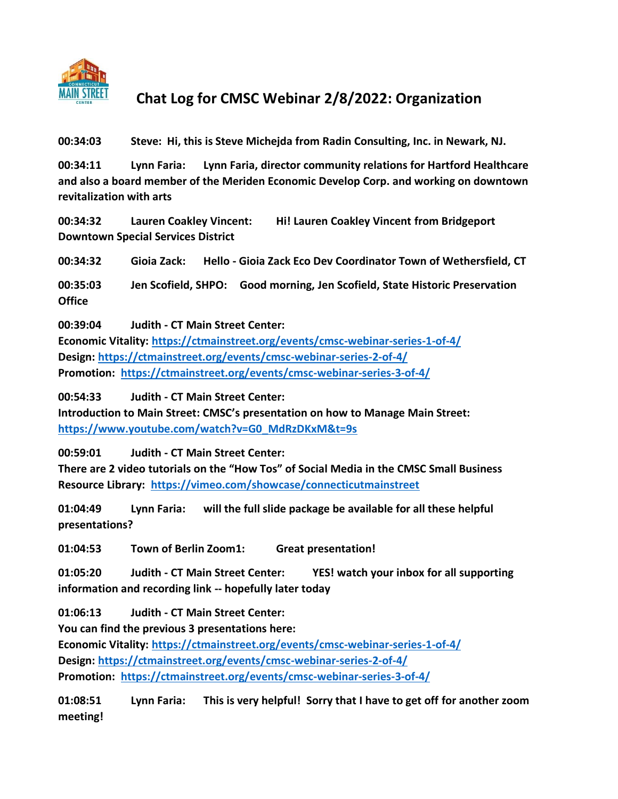

## **Chat Log for CMSC Webinar 2/8/2022: Organization**

**00:34:03 Steve: Hi, this is Steve Michejda from Radin Consulting, Inc. in Newark, NJ.**

**00:34:11 Lynn Faria: Lynn Faria, director community relations for Hartford Healthcare and also a board member of the Meriden Economic Develop Corp. and working on downtown revitalization with arts**

**00:34:32 Lauren Coakley Vincent: Hi! Lauren Coakley Vincent from Bridgeport Downtown Special Services District**

**00:34:32 Gioia Zack: Hello - Gioia Zack Eco Dev Coordinator Town of Wethersfield, CT**

**00:35:03 Jen Scofield, SHPO: Good morning, Jen Scofield, State Historic Preservation Office**

**00:39:04 Judith - CT Main Street Center: Economic Vitality:<https://ctmainstreet.org/events/cmsc-webinar-series-1-of-4/> Design:<https://ctmainstreet.org/events/cmsc-webinar-series-2-of-4/> Promotion: <https://ctmainstreet.org/events/cmsc-webinar-series-3-of-4/>**

**00:54:33 Judith - CT Main Street Center:**

**Introduction to Main Street: CMSC's presentation on how to Manage Main Street: [https://www.youtube.com/watch?v=G0\\_MdRzDKxM&t=9s](https://www.youtube.com/watch?v=G0_MdRzDKxM&t=9s)**

**00:59:01 Judith - CT Main Street Center:**

**There are 2 video tutorials on the "How Tos" of Social Media in the CMSC Small Business Resource Library: <https://vimeo.com/showcase/connecticutmainstreet>**

**01:04:49 Lynn Faria: will the full slide package be available for all these helpful presentations?**

**01:04:53 Town of Berlin Zoom1: Great presentation!**

**01:05:20 Judith - CT Main Street Center: YES! watch your inbox for all supporting information and recording link -- hopefully later today**

**01:06:13 Judith - CT Main Street Center:**

**You can find the previous 3 presentations here: Economic Vitality:<https://ctmainstreet.org/events/cmsc-webinar-series-1-of-4/> Design:<https://ctmainstreet.org/events/cmsc-webinar-series-2-of-4/> Promotion: <https://ctmainstreet.org/events/cmsc-webinar-series-3-of-4/>**

**01:08:51 Lynn Faria: This is very helpful! Sorry that I have to get off for another zoom meeting!**